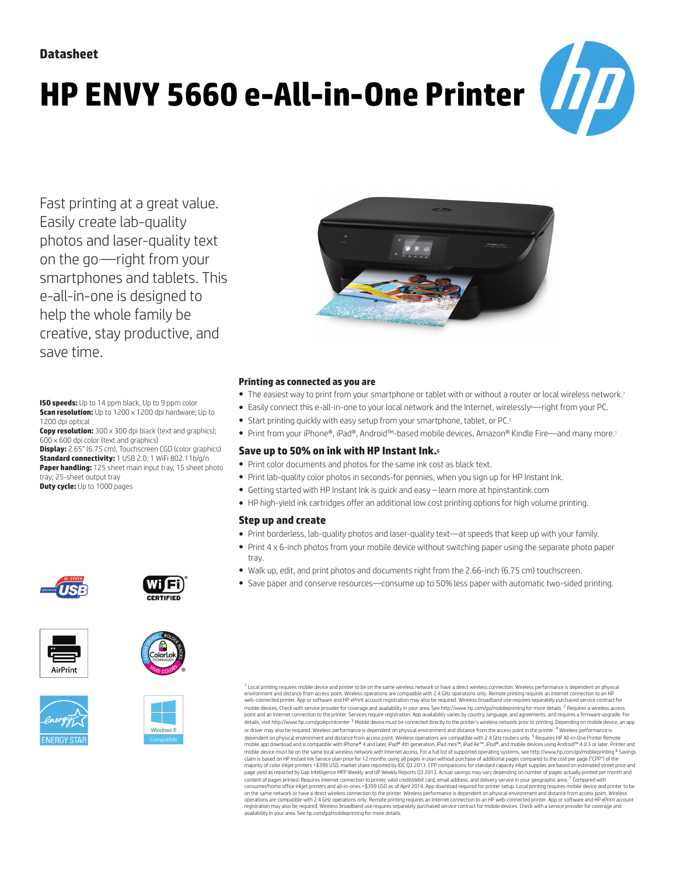# **HP ENVY 5660 e-All-in-One Printer**



Fast printing at a great value. Easily create lab-quality photos and laser-quality text on the go--right from your smartphones and tablets. This e-all-in-one is designed to help the whole family be creative, stay productive, and save time.

**ISO speeds:** Up to 14 ppm black, Up to 9 ppm color **Scan resolution:** Up to 1200 x 1200 dpi hardware; Up to 1200 dpi optical

**Copy resolution:** 300 x 300 dpi black (text and graphics); 600 x 600 dpi color (text and graphics)

**Display:** 2.65" (6.75 cm), Touchscreen CGD (color graphics) **Standard connectivity:** 1 USB 2.0; 1 WiFi 802.11b/g/n **Paper handling:** 125 sheet main input tray, 15 sheet photo tray; 25-sheet output tray

**Duty cycle:** Up to 1000 pages













#### **Printing as connected as you are**

- The easiest way to print from your smartphone or tablet with or without a router or local wireless network.<sup>7</sup>
- Easily connect this e-all-in-one to your local network and the Internet, wirelessly<sup>4</sup>—right from your PC.
- Start printing quickly with easy setup from your smartphone, tablet, or PC.5
- Print from your iPhone®, iPad®, Android™-based mobile devices, Amazon® Kindle Fire—and many more.<sup>1</sup>

### **Save up to 50% on ink with HP Instant Ink.**<sup>6</sup>

- Print color documents and photos for the same ink cost as black text.
- Print lab-quality color photos in seconds-for pennies, when you sign up for HP Instant Ink.
- Getting started with HP Instant Ink is quick and easy learn more at [hpinstantink.com](http://hpinstantink.com)
- HP high-yield ink cartridges offer an additional low cost printing options for high volume printing.

### **Step up and create**

- Print borderless, lab-quality photos and laser-quality text—at speeds that keep up with your family.
- Print 4 x 6-inch photos from your mobile device without switching paper using the separate photo paper tray.
- Walk up, edit, and print photos and documents right from the 2.66-inch (6.75 cm) touchscreen.
- Save paper and conserve resources—consume up to 50% less paper with automatic two-sided printing.

<sup>1</sup> Local printing requires mobile device and printer to be on the same wireless network or have a direct wireless connection. Wireless performance is dependent on physical<br>environment and distance from access point. Wirel mobile devices. Check with service provider for coverage and availability in your area. See http://www.hp.com/go/mobileprinting for more details. <sup>2</sup> Requires a wireless access<br>point and an Internet connection to the print details, visit http://www.hp.com/go/eprintcenter <sup>3</sup> Mobile device must be connected directly to the printer's wireless network prior to printing. Depending on mobile device, an app or driver may also be required. Wireless performance is dependent on physical environment and distance from the access point in the printer. <sup>4</sup> Wireless performance is dependent on physical environment and distance from access point. Wireless operations are compatible with 2.4 GHz routers only. <sup>5</sup> Requires HP All-in-One Printer Remote<br>mobile app download and is compatible with iPhone® mobile device must be on the same local wireless network with Internet access. For a full list of supported operating systems, see http://www.hp.com/go/mobileprinting <sup>6</sup> Savings<br>claim is based on HP Instant Ink Service pl majority of color inkjet printers <\$399 USD, market share reported by IDC Q3 2013. CPP comparisons for standard capacity inkjet supplies are based on estimated street price and page yield as reported by Gap Intelligence MFP Weekly and IJP Weekly Reports Q3 2013. Actual savings may vary depending on number of pages actually printed per month and content of pages printed. Requires internet connection to printer, valid credit/debit card, email address, and delivery service in your geographic area. <sup>7</sup> Compared with consumer/home office inkjet printers and all-in-ones <\$399 USD as of April 2014. App download required for printer setup. Local printing requires mobile device and printer to be<br>on the same network or have a direct wireles registration may also be required. Wireless broadband use requires separately purchased service contract for mobile devices. Check with a service provider for coverage and<br>availability in your area. See hp.com/go/mobilepri